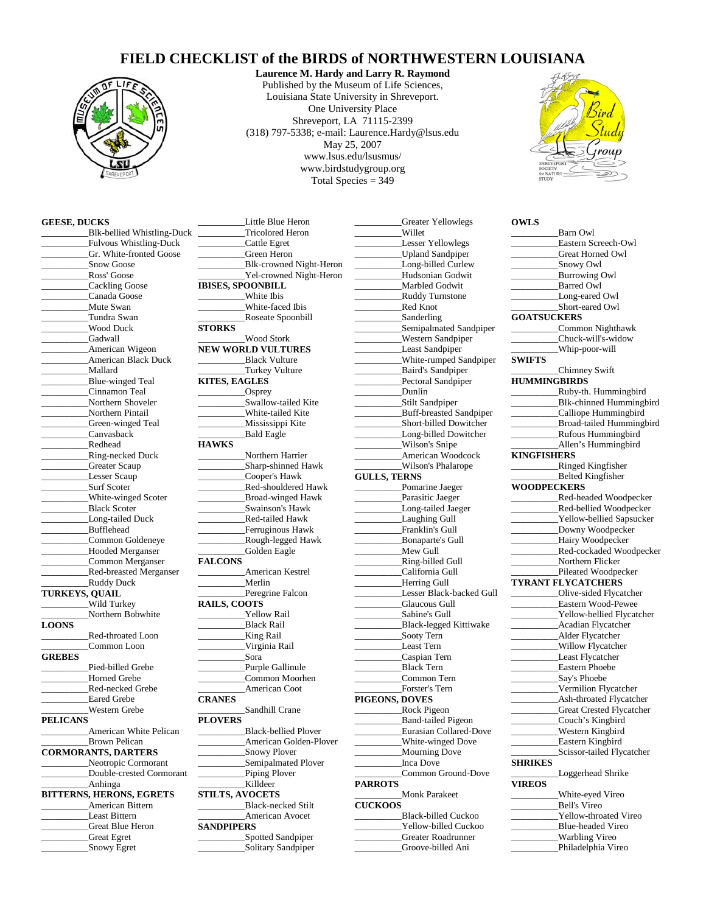## **FIELD CHECKLIST of the BIRDS of NORTHWESTERN LOUISIANA**



**Laurence M. Hardy and Larry R. Raymond** Published by the Museum of Life Sciences, Louisiana State University in Shreveport. One University Place Shreveport, LA 71115-2399 (318) 797-5338; e-mail: Laurence.Hardy@lsus.edu May 25, 2007 www.lsus.edu/lsusmus/ www.birdstudygroup.org Total Species = 349



**OWLS**

## **GEESE, DUCKS**

\_\_\_\_\_\_\_\_\_\_Blk-bellied Whistling-Duck \_\_\_\_\_\_\_\_\_\_Fulvous Whistling-Duck Gr. White-fronted Goose Snow Goose \_\_\_\_\_\_\_\_\_\_Ross' Goose \_\_\_\_\_\_\_\_\_\_Cackling Goose \_\_\_\_\_\_\_\_\_\_Canada Goose Mute Swan \_\_\_\_\_\_\_\_\_\_Tundra Swan \_\_\_\_\_\_\_\_\_\_Wood Duck Gadwall \_American Wigeon American Black Duck \_\_\_\_\_\_\_\_\_\_Mallard \_\_\_\_\_\_\_\_\_\_Blue-winged Teal \_\_\_\_\_\_\_\_\_\_Cinnamon Teal Northern Shoveler \_\_\_\_\_\_\_\_\_\_Northern Pintail Green-winged Teal \_\_\_\_\_\_\_\_\_\_Canvasback \_\_\_\_\_\_\_\_\_\_Redhead \_\_\_\_\_\_\_\_\_\_Ring-necked Duck Greater Scaup Lesser Scaup Surf Scoter White-winged Scoter \_\_\_\_\_\_\_\_\_\_Black Scoter Long-tailed Duck \_\_\_\_\_\_\_\_\_\_Bufflehead Common Goldeneye Hooded Merganser \_\_\_\_\_\_\_\_\_\_Common Merganser \_\_\_\_\_\_\_\_\_\_Red-breasted Merganser \_\_\_\_\_\_\_\_\_\_Ruddy Duck **TURKEYS, QUAIL** \_\_\_\_\_\_\_\_\_\_Wild Turkey Northern Bobwhite **LOONS**  \_\_\_\_\_\_\_\_\_\_Red-throated Loon Common Loon **GREBES** Pied-billed Grebe \_\_\_\_\_\_\_\_\_\_Horned Grebe \_\_\_\_\_\_\_\_\_\_Red-necked Grebe Eared Grebe \_\_\_\_\_\_\_\_\_\_Western Grebe **PELICANS**  \_\_\_\_\_\_\_\_\_\_American White Pelican \_\_\_\_\_\_\_\_\_\_Brown Pelican **CORMORANTS, DARTERS**  \_\_\_\_\_\_\_\_\_\_Neotropic Cormorant \_\_\_\_\_\_\_\_\_\_Double-crested Cormorant \_\_\_\_\_\_\_\_\_\_Anhinga **BITTERNS, HERONS, EGRETS** \_\_\_\_\_\_\_\_\_\_American Bittern \_\_\_\_\_\_\_\_\_\_Least Bittern \_\_\_\_\_\_\_\_\_\_Great Blue Heron \_\_\_\_\_\_\_\_\_\_Great Egret \_\_\_\_\_\_\_\_\_\_Snowy Egret

\_\_\_\_\_\_\_\_\_\_Tricolored Heron \_\_\_\_\_\_\_\_\_\_Cattle Egret Green Heron \_\_\_\_\_\_\_\_\_\_Blk-crowned Night-Heron Yel-crowned Night-Heron **IBISES, SPOONBILL** \_\_\_\_\_\_\_\_\_\_White Ibis White-faced Ibis \_\_\_\_\_\_\_\_\_\_Roseate Spoonbill **STORKS**  \_\_\_\_\_\_\_\_\_\_Wood Stork **NEW WORLD VULTURES** \_\_\_\_\_\_\_\_\_\_Black Vulture Turkey Vulture **KITES, EAGLES** \_\_\_\_\_\_\_\_\_\_Osprey Swallow-tailed Kite \_\_\_\_\_\_\_\_\_\_White-tailed Kite \_\_\_\_\_\_\_\_\_\_Mississippi Kite Bald Eagle **HAWKS**  \_\_\_\_\_\_\_\_\_\_Northern Harrier \_\_\_\_\_\_\_\_\_\_Sharp-shinned Hawk \_\_\_\_\_\_\_\_\_\_Cooper's Hawk Red-shouldered Hawk \_\_\_\_\_\_\_\_\_\_Broad-winged Hawk \_\_\_\_\_\_\_\_\_\_Swainson's Hawk \_\_\_\_\_\_\_\_\_\_Red-tailed Hawk Ferruginous Hawk \_\_\_\_\_\_\_\_\_\_Rough-legged Hawk Golden Eagle **FALCONS**  \_\_\_\_\_\_\_\_\_\_American Kestrel \_\_\_\_\_\_\_\_\_\_Merlin Peregrine Falcon **RAILS, COOTS**  Yellow Rail \_\_\_\_\_\_\_\_\_\_Black Rail King Rail \_\_\_\_\_\_\_\_\_\_Virginia Rail \_\_\_\_\_\_\_\_\_\_Sora Purple Gallinule \_\_\_\_\_\_\_\_\_\_Common Moorhen \_\_\_\_\_\_\_\_\_\_American Coot **CRANES**  \_\_\_\_\_\_\_\_\_\_Sandhill Crane **PLOVERS**  \_\_\_\_\_\_\_\_\_\_Black-bellied Plover \_\_\_\_\_\_\_\_\_\_American Golden-Plover Snowy Plover Semipalmated Plover Piping Plover \_\_\_\_\_\_\_\_\_\_Killdeer **STILTS, AVOCETS**  \_\_\_\_\_\_\_\_\_\_Black-necked Stilt \_\_\_\_\_\_\_\_\_\_American Avocet **SANDPIPERS**  \_\_\_\_\_\_\_\_\_\_Spotted Sandpiper

\_\_\_\_\_\_\_\_\_\_Solitary Sandpiper

Little Blue Heron

Greater Yellowlegs \_\_\_\_\_\_\_\_\_\_Willet Lesser Yellowlegs \_\_\_\_\_\_\_\_\_\_Upland Sandpiper Long-billed Curlew \_\_\_\_\_\_\_\_\_\_Hudsonian Godwit \_\_\_\_\_\_\_\_\_\_Marbled Godwit \_\_\_\_\_\_\_\_\_\_Ruddy Turnstone \_\_\_\_\_\_\_\_\_\_Red Knot \_\_\_\_\_\_\_\_\_\_Sanderling \_\_\_\_\_\_\_\_\_\_Semipalmated Sandpiper \_\_\_\_\_\_\_\_\_\_Western Sandpiper Least Sandpiper \_\_\_\_\_\_\_\_\_\_White-rumped Sandpiper \_\_\_\_\_\_\_\_\_\_Baird's Sandpiper Pectoral Sandpiper \_\_\_\_\_\_\_\_\_\_Dunlin \_\_\_\_\_\_\_\_\_\_Stilt Sandpiper \_\_\_\_\_\_\_\_\_\_Buff-breasted Sandpiper \_\_\_\_\_\_\_\_\_\_Short-billed Dowitcher \_\_\_\_\_\_\_\_\_\_Long-billed Dowitcher \_\_\_\_\_\_\_\_\_\_Wilson's Snipe \_\_\_\_\_\_\_\_\_\_American Woodcock \_\_\_\_\_\_\_\_\_\_Wilson's Phalarope **GULLS, TERNS** Pomarine Jaeger Parasitic Jaeger Long-tailed Jaeger Laughing Gull Franklin's Gull \_\_\_\_\_\_\_\_\_\_Bonaparte's Gull Mew Gull \_\_\_\_\_\_\_\_\_\_Ring-billed Gull \_\_\_\_\_\_\_\_\_\_California Gull Herring Gull Lesser Black-backed Gull Glaucous Gull \_\_\_\_\_\_\_\_\_\_Sabine's Gull \_\_\_\_\_\_\_\_\_\_Black-legged Kittiwake \_\_\_\_\_\_\_\_\_\_Sooty Tern Least Tern \_\_\_\_\_\_\_\_\_\_Caspian Tern \_\_\_\_\_\_\_\_\_\_Black Tern \_\_\_\_\_\_\_\_\_\_Common Tern \_\_\_\_\_\_\_\_\_\_Forster's Tern **PIGEONS, DOVES**  \_\_\_\_\_\_\_\_\_\_Rock Pigeon \_\_\_\_\_\_\_\_\_\_Band-tailed Pigeon \_\_\_\_\_\_\_\_\_\_Eurasian Collared-Dove \_\_\_\_\_\_\_\_\_\_White-winged Dove \_\_\_\_\_\_\_\_\_\_Mourning Dove \_\_\_\_\_\_\_\_\_\_Inca Dove \_\_\_\_\_\_\_\_\_\_Common Ground-Dove **PARROTS**  \_\_\_\_\_\_\_\_\_\_Monk Parakeet **CUCKOOS**  \_\_\_\_\_\_\_\_\_\_Black-billed Cuckoo Yellow-billed Cuckoo \_\_\_\_\_\_\_\_\_\_Greater Roadrunner

\_\_\_\_\_\_\_\_\_\_Groove-billed Ani

|                     | <b>Barn Owl</b>                 |
|---------------------|---------------------------------|
|                     | Eastern Screech-Owl             |
|                     | Great Horned Owl                |
|                     | Snowy Owl                       |
|                     | <b>Burrowing Owl</b>            |
|                     | <b>Barred Owl</b>               |
|                     | Long-eared Owl                  |
|                     | Short-eared Owl                 |
| <b>GOATSUCKERS</b>  |                                 |
|                     | Common Nighthawk                |
|                     | Chuck-will's-widow              |
|                     | Whip-poor-will                  |
| <b>SWIFTS</b>       |                                 |
|                     | Chimney Swift                   |
| <b>HUMMINGBIRDS</b> |                                 |
|                     | Ruby-th. Hummingbird            |
|                     |                                 |
|                     | <b>Blk-chinned Hummingbird</b>  |
|                     | Calliope Hummingbird            |
|                     | <b>Broad-tailed Hummingbird</b> |
|                     | <b>Rufous Hummingbird</b>       |
|                     | Allen's Hummingbird             |
| <b>KINGFISHERS</b>  |                                 |
|                     | Ringed Kingfisher               |
|                     | <b>Belted Kingfisher</b>        |
| <b>WOODPECKERS</b>  |                                 |
|                     | Red-headed Woodpecker           |
|                     | Red-bellied Woodpecker          |
|                     | Yellow-bellied Sapsucker        |
|                     | Downy Woodpecker                |
|                     | Hairy Woodpecker                |
|                     | Red-cockaded Woodpecker         |
|                     | Northern Flicker                |
|                     | Pileated Woodpecker             |
|                     | <b>TYRANT FLYCATCHERS</b>       |
|                     | Olive-sided Flycatcher          |
|                     | Eastern Wood-Pewee              |
|                     | Yellow-bellied Flycatcher       |
|                     | Acadian Flycatcher              |
|                     | Alder Flycatcher                |
|                     | Willow Flycatcher               |
|                     | Least Flycatcher                |
|                     | <b>Eastern Phoebe</b>           |
|                     | Say's Phoebe                    |
|                     | Vermilion Flycatcher            |
|                     |                                 |
|                     | Ash-throated Flycatcher         |
|                     | Great Crested Flycatcher        |
|                     | Couch's Kingbird                |
|                     | <b>Western Kingbird</b>         |
|                     | Eastern Kingbird                |
|                     | Scissor-tailed Flycatcher       |
| SHRIKES             |                                 |
|                     | Loggerhead Shrike               |
| <b>VIREOS</b>       |                                 |
|                     | White-eyed Vireo                |
|                     | <b>Bell's Vireo</b>             |
|                     | Yellow-throated Vireo           |
|                     | <b>Blue-headed Vireo</b>        |
|                     | <b>Warbling Vireo</b>           |
|                     | Philadelphia Vireo              |